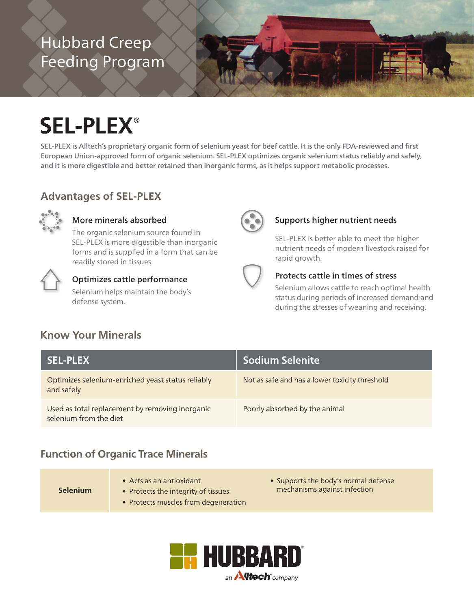# Hubbard Creep Feeding Program



# **SEL-PLEX®**

SEL-PLEX is Alltech's proprietary organic form of selenium yeast for beef cattle. It is the only FDA-reviewed and first European Union-approved form of organic selenium. SEL-PLEX optimizes organic selenium status reliably and safely, and it is more digestible and better retained than inorganic forms, as it helps support metabolic processes.

#### **Advantages of SEL-PLEX**



#### More minerals absorbed

The organic selenium source found in SEL-PLEX is more digestible than inorganic forms and is supplied in a form that can be readily stored in tissues.



#### Optimizes cattle performance Selenium helps maintain the body's



#### nutrient needs of modern livestock raised for rapid growth.

SEL-PLEX is better able to meet the higher

Supports higher nutrient needs

#### Protects cattle in times of stress

Selenium allows cattle to reach optimal health status during periods of increased demand and during the stresses of weaning and receiving.

### **Know Your Minerals**

defense system.

| <b>SEL-PLEX</b>                                                           | <b>Sodium Selenite</b>                         |
|---------------------------------------------------------------------------|------------------------------------------------|
| Optimizes selenium-enriched yeast status reliably<br>and safely           | Not as safe and has a lower toxicity threshold |
| Used as total replacement by removing inorganic<br>selenium from the diet | Poorly absorbed by the animal                  |

#### **Function of Organic Trace Minerals**

**Selenium**

- Acts as an antioxidant
- Protects the integrity of tissues
- Protects muscles from degeneration
- Supports the body's normal defense mechanisms against infection